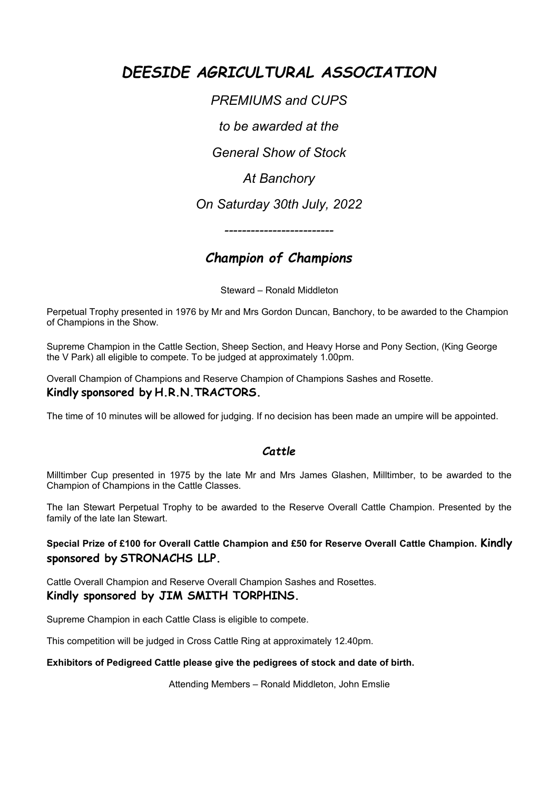# *DEESIDE AGRICULTURAL ASSOCIATION*

*PREMIUMS and CUPS*

*to be awarded at the*

*General Show of Stock*

*At Banchory*

*On Saturday 30th July, 2022*

*-------------------------*

## *Champion of Champions*

Steward – Ronald Middleton

Perpetual Trophy presented in 1976 by Mr and Mrs Gordon Duncan, Banchory, to be awarded to the Champion of Champions in the Show.

Supreme Champion in the Cattle Section, Sheep Section, and Heavy Horse and Pony Section, (King George the V Park) all eligible to compete. To be judged at approximately 1.00pm.

Overall Champion of Champions and Reserve Champion of Champions Sashes and Rosette.

## **Kindly sponsored by H.R.N.TRACTORS.**

The time of 10 minutes will be allowed for judging. If no decision has been made an umpire will be appointed.

## *Cattle*

Milltimber Cup presented in 1975 by the late Mr and Mrs James Glashen, Milltimber, to be awarded to the Champion of Champions in the Cattle Classes.

The Ian Stewart Perpetual Trophy to be awarded to the Reserve Overall Cattle Champion. Presented by the family of the late Ian Stewart.

## **Special Prize of £100 for Overall Cattle Champion and £50 for Reserve Overall Cattle Champion. Kindly sponsored by STRONACHS LLP.**

Cattle Overall Champion and Reserve Overall Champion Sashes and Rosettes. **Kindly sponsored by JIM SMITH TORPHINS.**

Supreme Champion in each Cattle Class is eligible to compete.

This competition will be judged in Cross Cattle Ring at approximately 12.40pm.

## **Exhibitors of Pedigreed Cattle please give the pedigrees of stock and date of birth.**

Attending Members – Ronald Middleton, John Emslie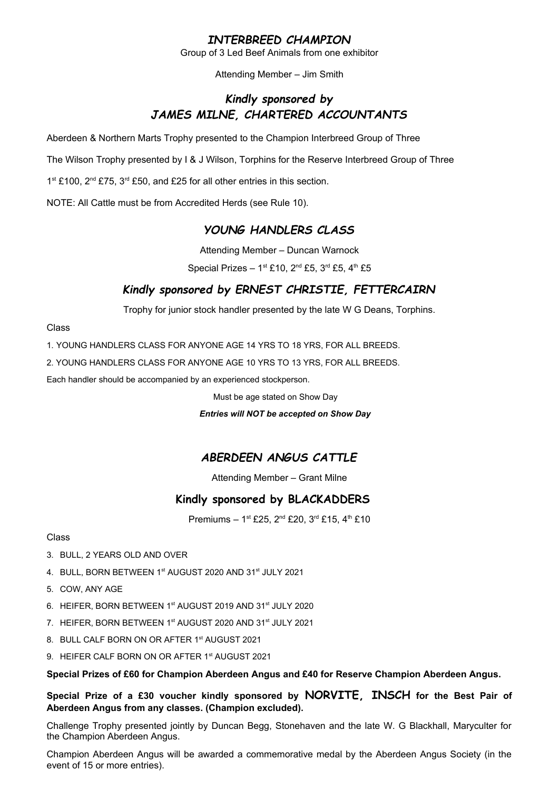## *INTERBREED CHAMPION*

Group of 3 Led Beef Animals from one exhibitor

Attending Member – Jim Smith

## *Kindly sponsored by JAMES MILNE, CHARTERED ACCOUNTANTS*

Aberdeen & Northern Marts Trophy presented to the Champion Interbreed Group of Three

The Wilson Trophy presented by I & J Wilson, Torphins for the Reserve Interbreed Group of Three

1<sup>st</sup> £100, 2<sup>nd</sup> £75, 3<sup>rd</sup> £50, and £25 for all other entries in this section.

NOTE: All Cattle must be from Accredited Herds (see Rule 10).

## *YOUNG HANDLERS CLASS*

Attending Member – Duncan Warnock

Special Prizes -  $1^{st}$  £10,  $2^{nd}$  £5,  $3^{rd}$  £5,  $4^{th}$  £5

## *Kindly sponsored by ERNEST CHRISTIE, FETTERCAIRN*

Trophy for junior stock handler presented by the late W G Deans, Torphins.

#### Class

1. YOUNG HANDLERS CLASS FOR ANYONE AGE 14 YRS TO 18 YRS, FOR ALL BREEDS.

2. YOUNG HANDLERS CLASS FOR ANYONE AGE 10 YRS TO 13 YRS, FOR ALL BREEDS.

Each handler should be accompanied by an experienced stockperson.

Must be age stated on Show Day

#### *Entries will NOT be accepted on Show Day*

## *ABERDEEN ANGUS CATTLE*

Attending Member – Grant Milne

## **Kindly sponsored by BLACKADDERS**

Premiums – 1st £25, 2<sup>nd</sup> £20, 3<sup>rd</sup> £15, 4<sup>th</sup> £10

#### Class

- 3. BULL, 2 YEARS OLD AND OVER
- 4. BULL, BORN BETWEEN 1st AUGUST 2020 AND 31st JULY 2021
- 5. COW, ANY AGE
- 6. HEIFER, BORN BETWEEN 1st AUGUST 2019 AND 31st JULY 2020
- 7. HEIFER, BORN BETWEEN 1st AUGUST 2020 AND 31st JULY 2021
- 8. BULL CALF BORN ON OR AFTER 1<sup>st</sup> AUGUST 2021
- 9. HEIFER CALF BORN ON OR AFTER 1<sup>st</sup> AUGUST 2021

**Special Prizes of £60 for Champion Aberdeen Angus and £40 for Reserve Champion Aberdeen Angus.**

**Special Prize of a £30 voucher kindly sponsored by NORVITE, INSCH for the Best Pair of Aberdeen Angus from any classes. (Champion excluded).**

Challenge Trophy presented jointly by Duncan Begg, Stonehaven and the late W. G Blackhall, Maryculter for the Champion Aberdeen Angus.

Champion Aberdeen Angus will be awarded a commemorative medal by the Aberdeen Angus Society (in the event of 15 or more entries).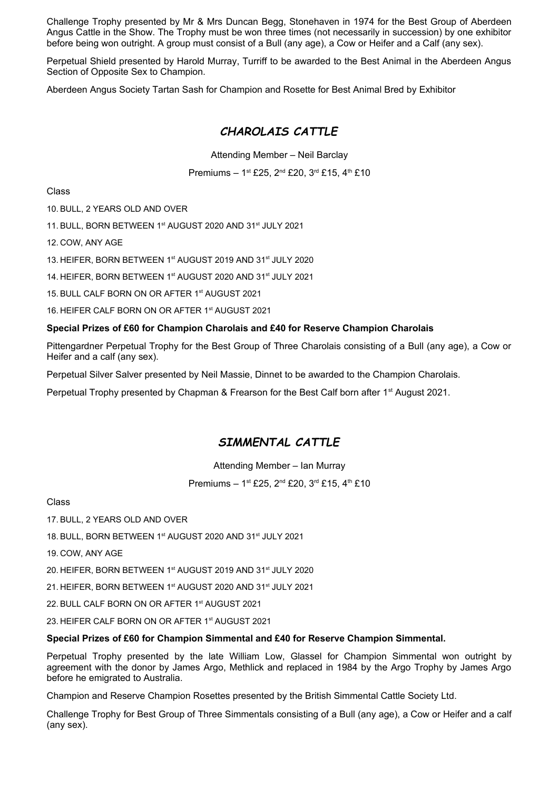Challenge Trophy presented by Mr & Mrs Duncan Begg, Stonehaven in 1974 for the Best Group of Aberdeen Angus Cattle in the Show. The Trophy must be won three times (not necessarily in succession) by one exhibitor before being won outright. A group must consist of a Bull (any age), a Cow or Heifer and a Calf (any sex).

Perpetual Shield presented by Harold Murray, Turriff to be awarded to the Best Animal in the Aberdeen Angus Section of Opposite Sex to Champion.

Aberdeen Angus Society Tartan Sash for Champion and Rosette for Best Animal Bred by Exhibitor

## *CHAROLAIS CATTLE*

Attending Member – Neil Barclay

Premiums – 1st £25, 2<sup>nd</sup> £20, 3<sup>rd</sup> £15, 4<sup>th</sup> £10

Class

10. BULL, 2 YEARS OLD AND OVER

11. BULL, BORN BETWEEN 1st AUGUST 2020 AND 31st JULY 2021

12. COW, ANY AGE

13. HEIFER, BORN BETWEEN 1st AUGUST 2019 AND 31st JULY 2020

14. HEIFER, BORN BETWEEN 1st AUGUST 2020 AND 31st JULY 2021

15. BULL CALF BORN ON OR AFTER 1<sup>st</sup> AUGUST 2021

16. HEIFER CALF BORN ON OR AFTER 1<sup>st</sup> AUGUST 2021

#### **Special Prizes of £60 for Champion Charolais and £40 for Reserve Champion Charolais**

Pittengardner Perpetual Trophy for the Best Group of Three Charolais consisting of a Bull (any age), a Cow or Heifer and a calf (any sex).

Perpetual Silver Salver presented by Neil Massie, Dinnet to be awarded to the Champion Charolais.

Perpetual Trophy presented by Chapman & Frearson for the Best Calf born after 1<sup>st</sup> August 2021.

## *SIMMENTAL CATTLE*

Attending Member – Ian Murray

Premiums – 1st £25, 2<sup>nd</sup> £20, 3<sup>rd</sup> £15, 4<sup>th</sup> £10

Class

17. BULL, 2 YEARS OLD AND OVER

18. BULL, BORN BETWEEN 1st AUGUST 2020 AND 31st JULY 2021

19. COW, ANY AGE

20. HEIFER, BORN BETWEEN 1st AUGUST 2019 AND 31st JULY 2020

21. HEIFER, BORN BETWEEN 1st AUGUST 2020 AND 31st JULY 2021

22. BULL CALF BORN ON OR AFTER 1st AUGUST 2021

23. HEIFER CALF BORN ON OR AFTER 1<sup>st</sup> AUGUST 2021

#### **Special Prizes of £60 for Champion Simmental and £40 for Reserve Champion Simmental.**

Perpetual Trophy presented by the late William Low, Glassel for Champion Simmental won outright by agreement with the donor by James Argo, Methlick and replaced in 1984 by the Argo Trophy by James Argo before he emigrated to Australia.

Champion and Reserve Champion Rosettes presented by the British Simmental Cattle Society Ltd.

Challenge Trophy for Best Group of Three Simmentals consisting of a Bull (any age), a Cow or Heifer and a calf (any sex).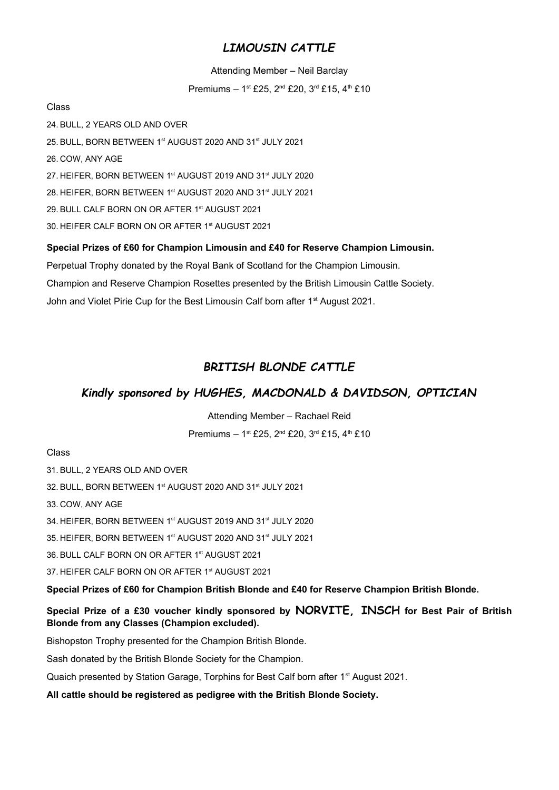## *LIMOUSIN CATTLE*

#### Attending Member – Neil Barclay

Premiums – 1st £25, 2<sup>nd</sup> £20, 3<sup>rd</sup> £15, 4<sup>th</sup> £10

Class

24. BULL, 2 YEARS OLD AND OVER 25. BULL, BORN BETWEEN 1<sup>st</sup> AUGUST 2020 AND 31<sup>st</sup> JULY 2021 26. COW, ANY AGE 27. HEIFER, BORN BETWEEN 1st AUGUST 2019 AND 31st JULY 2020 28. HEIFER, BORN BETWEEN 1st AUGUST 2020 AND 31st JULY 2021 29. BULL CALF BORN ON OR AFTER 1<sup>st</sup> AUGUST 2021 30. HEIFER CALF BORN ON OR AFTER 1st AUGUST 2021

**Special Prizes of £60 for Champion Limousin and £40 for Reserve Champion Limousin.**

Perpetual Trophy donated by the Royal Bank of Scotland for the Champion Limousin.

Champion and Reserve Champion Rosettes presented by the British Limousin Cattle Society.

John and Violet Pirie Cup for the Best Limousin Calf born after 1<sup>st</sup> August 2021.

## *BRITISH BLONDE CATTLE*

## *Kindly sponsored by HUGHES, MACDONALD & DAVIDSON, OPTICIAN*

Attending Member – Rachael Reid

Premiums - 1st £25, 2<sup>nd</sup> £20, 3<sup>rd</sup> £15, 4<sup>th</sup> £10

## Class

31. BULL, 2 YEARS OLD AND OVER

32. BULL, BORN BETWEEN 1st AUGUST 2020 AND 31st JULY 2021

33. COW, ANY AGE

34. HEIFER, BORN BETWEEN 1st AUGUST 2019 AND 31st JULY 2020

35. HEIFER, BORN BETWEEN 1st AUGUST 2020 AND 31st JULY 2021

36. BULL CALF BORN ON OR AFTER 1st AUGUST 2021

37. HEIFER CALF BORN ON OR AFTER 1st AUGUST 2021

**Special Prizes of £60 for Champion British Blonde and £40 for Reserve Champion British Blonde.**

**Special Prize of a £30 voucher kindly sponsored by NORVITE, INSCH for Best Pair of British Blonde from any Classes (Champion excluded).**

Bishopston Trophy presented for the Champion British Blonde.

Sash donated by the British Blonde Society for the Champion.

Quaich presented by Station Garage, Torphins for Best Calf born after 1<sup>st</sup> August 2021.

**All cattle should be registered as pedigree with the British Blonde Society.**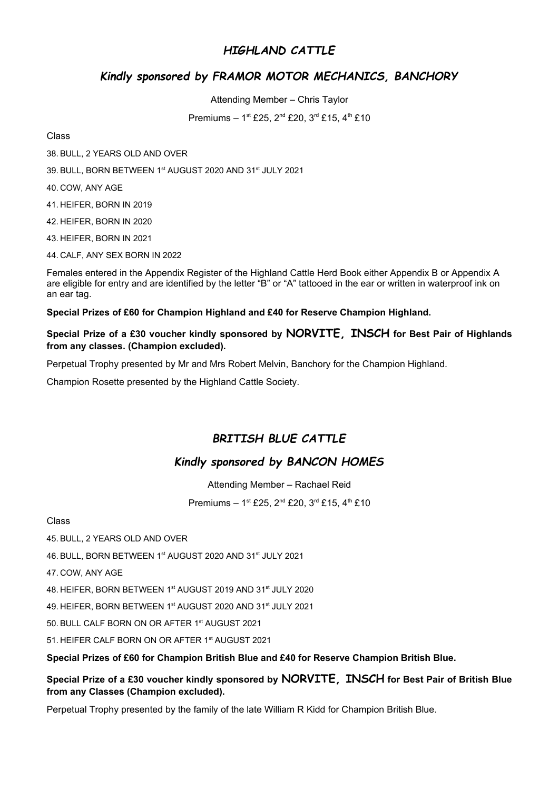## *HIGHLAND CATTLE*

## *Kindly sponsored by FRAMOR MOTOR MECHANICS, BANCHORY*

Attending Member – Chris Taylor

Premiums - 1<sup>st</sup> £25, 2<sup>nd</sup> £20, 3<sup>rd</sup> £15, 4<sup>th</sup> £10

#### Class

38. BULL, 2 YEARS OLD AND OVER

39. BULL, BORN BETWEEN 1st AUGUST 2020 AND 31st JULY 2021

40. COW, ANY AGE

41. HEIFER, BORN IN 2019

42. HEIFER, BORN IN 2020

43. HEIFER, BORN IN 2021

44. CALF, ANY SEX BORN IN 2022

Females entered in the Appendix Register of the Highland Cattle Herd Book either Appendix B or Appendix A are eligible for entry and are identified by the letter "B" or "A" tattooed in the ear or written in waterproof ink on an ear tag.

**Special Prizes of £60 for Champion Highland and £40 for Reserve Champion Highland.**

**Special Prize of a £30 voucher kindly sponsored by NORVITE, INSCH for Best Pair of Highlands from any classes. (Champion excluded).**

Perpetual Trophy presented by Mr and Mrs Robert Melvin, Banchory for the Champion Highland.

Champion Rosette presented by the Highland Cattle Society.

## *BRITISH BLUE CATTLE*

## *Kindly sponsored by BANCON HOMES*

Attending Member – Rachael Reid

Premiums – 1st £25, 2<sup>nd</sup> £20, 3<sup>rd</sup> £15, 4<sup>th</sup> £10

Class

45. BULL, 2 YEARS OLD AND OVER

46. BULL, BORN BETWEEN 1<sup>st</sup> AUGUST 2020 AND 31<sup>st</sup> JULY 2021

47. COW, ANY AGE

48. HEIFER, BORN BETWEEN 1st AUGUST 2019 AND 31st JULY 2020

49. HEIFER, BORN BETWEEN 1st AUGUST 2020 AND 31st JULY 2021

50. BULL CALF BORN ON OR AFTER 1<sup>st</sup> AUGUST 2021

51. HEIFER CALF BORN ON OR AFTER 1<sup>st</sup> AUGUST 2021

**Special Prizes of £60 for Champion British Blue and £40 for Reserve Champion British Blue.**

**Special Prize of a £30 voucher kindly sponsored by NORVITE, INSCH for Best Pair of British Blue from any Classes (Champion excluded).** 

Perpetual Trophy presented by the family of the late William R Kidd for Champion British Blue.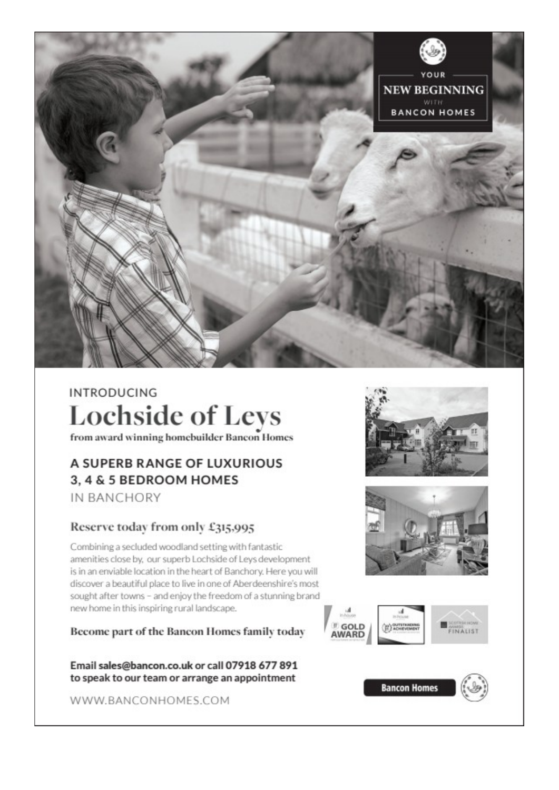

# **INTRODUCING Lochside of Leys**

from award winning homebuilder Bancon Homes

## A SUPERB RANGE OF LUXURIOUS 3, 4 & 5 BEDROOM HOMES IN BANCHORY

## Reserve today from only £315,995

Combining a secluded woodland setting with fantastic amenities close by, our superb Lochside of Leys development is in an enviable location in the heart of Banchory. Here you will discover a beautiful place to live in one of Aberdeenshire's most sought after towns - and enjoy the freedom of a stunning brand new home in this inspiring rural landscape.

Become part of the Bancon Homes family today

Email sales@bancon.co.uk or call 07918 677 891 to speak to our team or arrange an appointment

WWW.BANCONHOMES.COM









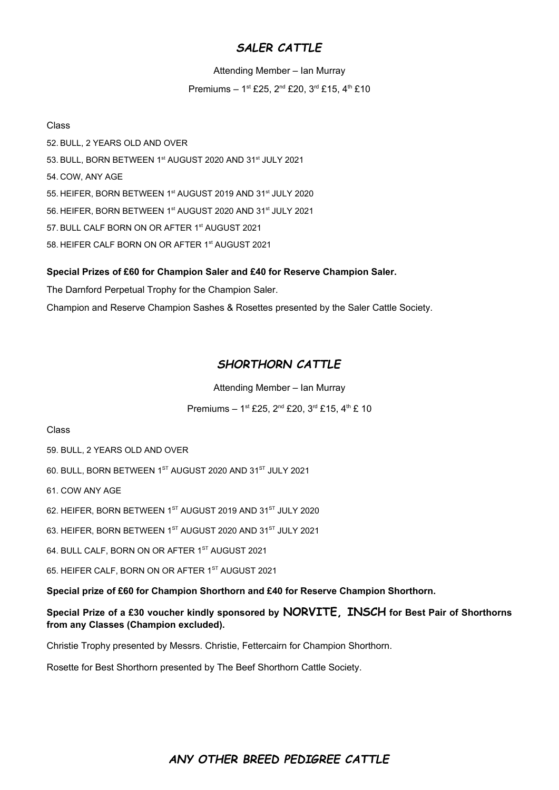## *SALER CATTLE*

Attending Member – Ian Murray

Premiums – 1st £25, 2<sup>nd</sup> £20, 3<sup>rd</sup> £15, 4<sup>th</sup> £10

#### Class

52. BULL, 2 YEARS OLD AND OVER 53. BULL, BORN BETWEEN 1st AUGUST 2020 AND 31st JULY 2021 54. COW, ANY AGE 55. HEIFER, BORN BETWEEN 1<sup>st</sup> AUGUST 2019 AND 31<sup>st</sup> JULY 2020 56. HEIFER, BORN BETWEEN 1st AUGUST 2020 AND 31st JULY 2021 57. BULL CALF BORN ON OR AFTER 1<sup>st</sup> AUGUST 2021 58. HEIFER CALF BORN ON OR AFTER 1<sup>st</sup> AUGUST 2021

## **Special Prizes of £60 for Champion Saler and £40 for Reserve Champion Saler.**

The Darnford Perpetual Trophy for the Champion Saler.

Champion and Reserve Champion Sashes & Rosettes presented by the Saler Cattle Society.

## *SHORTHORN CATTLE*

Attending Member – Ian Murray

Premiums – 1st £25, 2<sup>nd</sup> £20, 3<sup>rd</sup> £15, 4<sup>th</sup> £ 10

#### Class

59. BULL, 2 YEARS OLD AND OVER

60. BULL, BORN BETWEEN 1ST AUGUST 2020 AND 31ST JULY 2021

61. COW ANY AGE

62. HEIFER, BORN BETWEEN 1<sup>ST</sup> AUGUST 2019 AND 31<sup>ST</sup> JULY 2020

63. HEIFER, BORN BETWEEN 1ST AUGUST 2020 AND 31ST JULY 2021

64. BULL CALF, BORN ON OR AFTER 1ST AUGUST 2021

65. HEIFER CALF, BORN ON OR AFTER 1ST AUGUST 2021

**Special prize of £60 for Champion Shorthorn and £40 for Reserve Champion Shorthorn.**

**Special Prize of a £30 voucher kindly sponsored by NORVITE, INSCH for Best Pair of Shorthorns from any Classes (Champion excluded).** 

Christie Trophy presented by Messrs. Christie, Fettercairn for Champion Shorthorn.

Rosette for Best Shorthorn presented by The Beef Shorthorn Cattle Society.

## *ANY OTHER BREED PEDIGREE CATTLE*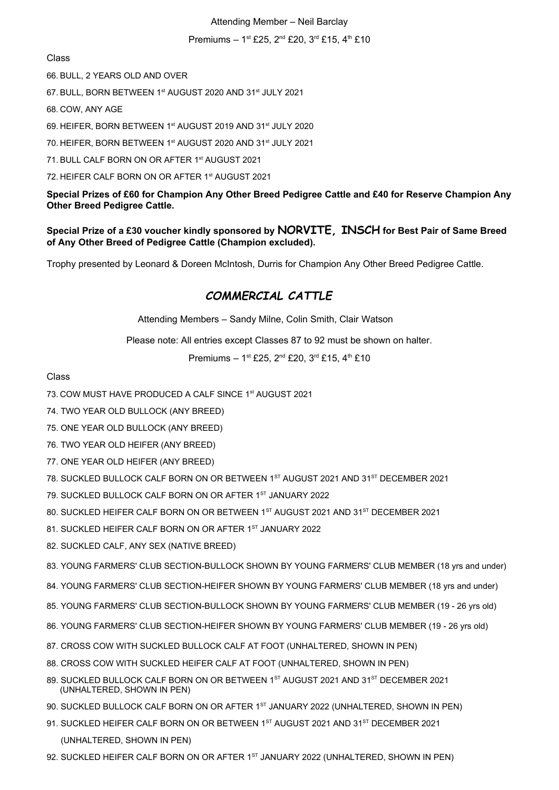#### Attending Member – Neil Barclay

Premiums – 1st £25, 2<sup>nd</sup> £20, 3<sup>rd</sup> £15, 4<sup>th</sup> £10

Class

66. BULL, 2 YEARS OLD AND OVER

67. BULL, BORN BETWEEN 1st AUGUST 2020 AND 31st JULY 2021

68. COW, ANY AGE

69. HEIFER, BORN BETWEEN 1st AUGUST 2019 AND 31st JULY 2020

70. HEIFER, BORN BETWEEN 1st AUGUST 2020 AND 31st JULY 2021

71. BULL CALF BORN ON OR AFTER 1<sup>st</sup> AUGUST 2021

72. HEIFER CALF BORN ON OR AFTER 1st AUGUST 2021

**Special Prizes of £60 for Champion Any Other Breed Pedigree Cattle and £40 for Reserve Champion Any Other Breed Pedigree Cattle.**

**Special Prize of a £30 voucher kindly sponsored by NORVITE, INSCH for Best Pair of Same Breed of Any Other Breed of Pedigree Cattle (Champion excluded).**

Trophy presented by Leonard & Doreen McIntosh, Durris for Champion Any Other Breed Pedigree Cattle.

## *COMMERCIAL CATTLE*

Attending Members – Sandy Milne, Colin Smith, Clair Watson

Please note: All entries except Classes 87 to 92 must be shown on halter.

Premiums – 1st £25, 2<sup>nd</sup> £20, 3<sup>rd</sup> £15, 4<sup>th</sup> £10

Class

73. COW MUST HAVE PRODUCED A CALF SINCE 1st AUGUST 2021

74. TWO YEAR OLD BULLOCK (ANY BREED)

- 75. ONE YEAR OLD BULLOCK (ANY BREED)
- 76. TWO YEAR OLD HEIFER (ANY BREED)
- 77. ONE YEAR OLD HEIFER (ANY BREED)
- 78. SUCKLED BULLOCK CALF BORN ON OR BETWEEN 1<sup>ST</sup> AUGUST 2021 AND 31<sup>st</sup> DECEMBER 2021
- 79. SUCKLED BULLOCK CALF BORN ON OR AFTER 1ST JANUARY 2022
- 80. SUCKLED HEIFER CALF BORN ON OR BETWEEN 1<sup>st</sup> AUGUST 2021 AND 31<sup>st</sup> DECEMBER 2021
- 81. SUCKLED HEIFER CALF BORN ON OR AFTER 1ST JANUARY 2022
- 82. SUCKLED CALF, ANY SEX (NATIVE BREED)

83. YOUNG FARMERS' CLUB SECTION-BULLOCK SHOWN BY YOUNG FARMERS' CLUB MEMBER (18 yrs and under)

- 84. YOUNG FARMERS' CLUB SECTION-HEIFER SHOWN BY YOUNG FARMERS' CLUB MEMBER (18 yrs and under)
- 85. YOUNG FARMERS' CLUB SECTION-BULLOCK SHOWN BY YOUNG FARMERS' CLUB MEMBER (19 26 yrs old)
- 86. YOUNG FARMERS' CLUB SECTION-HEIFER SHOWN BY YOUNG FARMERS' CLUB MEMBER (19 26 yrs old)
- 87. CROSS COW WITH SUCKLED BULLOCK CALF AT FOOT (UNHALTERED, SHOWN IN PEN)
- 88. CROSS COW WITH SUCKLED HEIFER CALF AT FOOT (UNHALTERED, SHOWN IN PEN)
- 89. SUCKLED BULLOCK CALF BORN ON OR BETWEEN 1ST AUGUST 2021 AND 31ST DECEMBER 2021 (UNHALTERED, SHOWN IN PEN)
- 90. SUCKLED BULLOCK CALF BORN ON OR AFTER 1ST JANUARY 2022 (UNHALTERED, SHOWN IN PEN)
- 91. SUCKLED HEIFER CALF BORN ON OR BETWEEN 1ST AUGUST 2021 AND 31ST DECEMBER 2021 (UNHALTERED, SHOWN IN PEN)
- 92. SUCKLED HEIFER CALF BORN ON OR AFTER 1ST JANUARY 2022 (UNHALTERED, SHOWN IN PEN)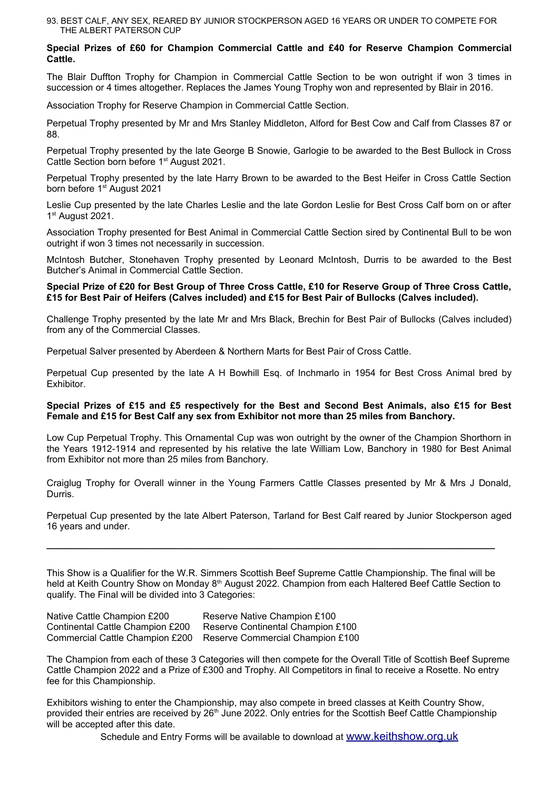93. BEST CALF, ANY SEX, REARED BY JUNIOR STOCKPERSON AGED 16 YEARS OR UNDER TO COMPETE FOR THE ALBERT PATERSON CUP

#### **Special Prizes of £60 for Champion Commercial Cattle and £40 for Reserve Champion Commercial Cattle.**

The Blair Duffton Trophy for Champion in Commercial Cattle Section to be won outright if won 3 times in succession or 4 times altogether. Replaces the James Young Trophy won and represented by Blair in 2016.

Association Trophy for Reserve Champion in Commercial Cattle Section.

Perpetual Trophy presented by Mr and Mrs Stanley Middleton, Alford for Best Cow and Calf from Classes 87 or 88.

Perpetual Trophy presented by the late George B Snowie, Garlogie to be awarded to the Best Bullock in Cross Cattle Section born before 1<sup>st</sup> August 2021.

Perpetual Trophy presented by the late Harry Brown to be awarded to the Best Heifer in Cross Cattle Section born before 1<sup>st</sup> August 2021

Leslie Cup presented by the late Charles Leslie and the late Gordon Leslie for Best Cross Calf born on or after 1st August 2021.

Association Trophy presented for Best Animal in Commercial Cattle Section sired by Continental Bull to be won outright if won 3 times not necessarily in succession.

McIntosh Butcher, Stonehaven Trophy presented by Leonard McIntosh, Durris to be awarded to the Best Butcher's Animal in Commercial Cattle Section.

#### **Special Prize of £20 for Best Group of Three Cross Cattle, £10 for Reserve Group of Three Cross Cattle, £15 for Best Pair of Heifers (Calves included) and £15 for Best Pair of Bullocks (Calves included).**

Challenge Trophy presented by the late Mr and Mrs Black, Brechin for Best Pair of Bullocks (Calves included) from any of the Commercial Classes.

Perpetual Salver presented by Aberdeen & Northern Marts for Best Pair of Cross Cattle.

Perpetual Cup presented by the late A H Bowhill Esq. of Inchmarlo in 1954 for Best Cross Animal bred by Exhibitor.

#### **Special Prizes of £15 and £5 respectively for the Best and Second Best Animals, also £15 for Best Female and £15 for Best Calf any sex from Exhibitor not more than 25 miles from Banchory.**

Low Cup Perpetual Trophy. This Ornamental Cup was won outright by the owner of the Champion Shorthorn in the Years 1912-1914 and represented by his relative the late William Low, Banchory in 1980 for Best Animal from Exhibitor not more than 25 miles from Banchory.

Craiglug Trophy for Overall winner in the Young Farmers Cattle Classes presented by Mr & Mrs J Donald, Durris.

Perpetual Cup presented by the late Albert Paterson, Tarland for Best Calf reared by Junior Stockperson aged 16 years and under.

This Show is a Qualifier for the W.R. Simmers Scottish Beef Supreme Cattle Championship. The final will be held at Keith Country Show on Monday  $8<sup>th</sup>$  August 2022. Champion from each Haltered Beef Cattle Section to qualify. The Final will be divided into 3 Categories:

**\_\_\_\_\_\_\_\_\_\_\_\_\_\_\_\_\_\_\_\_\_\_\_\_\_\_\_\_\_\_\_\_\_\_\_\_\_\_\_\_\_\_\_\_\_\_\_\_\_\_\_\_\_\_\_\_\_\_\_\_\_\_\_\_\_\_\_\_\_\_\_\_\_\_\_\_\_\_\_\_\_\_\_\_\_\_**

| Native Cattle Champion £200      | Reserve Native Champion £100      |
|----------------------------------|-----------------------------------|
| Continental Cattle Champion £200 | Reserve Continental Champion £100 |
| Commercial Cattle Champion £200  | Reserve Commercial Champion £100  |

The Champion from each of these 3 Categories will then compete for the Overall Title of Scottish Beef Supreme Cattle Champion 2022 and a Prize of £300 and Trophy. All Competitors in final to receive a Rosette. No entry fee for this Championship.

Exhibitors wishing to enter the Championship, may also compete in breed classes at Keith Country Show, provided their entries are received by 26<sup>th</sup> June 2022. Only entries for the Scottish Beef Cattle Championship will be accepted after this date.

Schedule and Entry Forms will be available to download at [www.keithshow.org.uk](http://www.keithshow.org.uk/)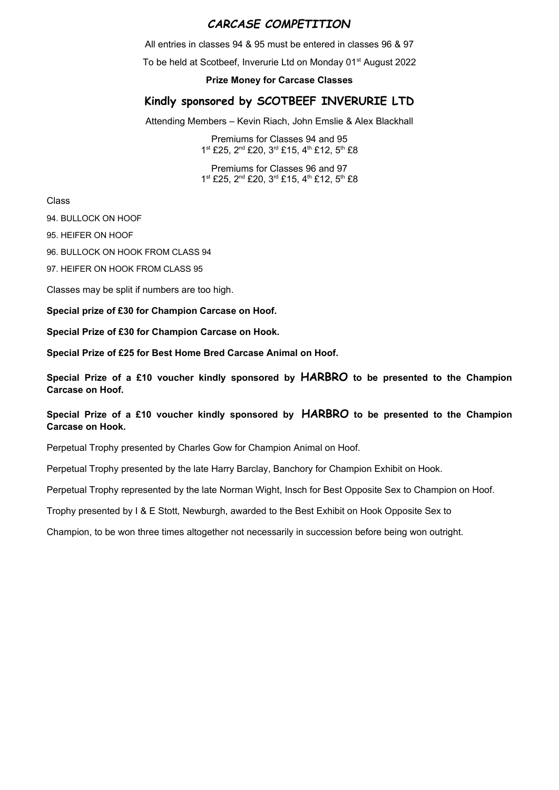## *CARCASE COMPETITION*

All entries in classes 94 & 95 must be entered in classes 96 & 97

To be held at Scotbeef, Inverurie Ltd on Monday 01<sup>st</sup> August 2022

#### **Prize Money for Carcase Classes**

## **Kindly sponsored by SCOTBEEF INVERURIE LTD**

Attending Members – Kevin Riach, John Emslie & Alex Blackhall

Premiums for Classes 94 and 95 1st £25, 2<sup>nd</sup> £20, 3<sup>rd</sup> £15, 4<sup>th</sup> £12, 5<sup>th</sup> £8

Premiums for Classes 96 and 97 1<sup>st</sup> £25, 2<sup>nd</sup> £20, 3<sup>rd</sup> £15, 4<sup>th</sup> £12, 5<sup>th</sup> £8

Class

94. BULLOCK ON HOOF

95. HEIFER ON HOOF

96. BULLOCK ON HOOK FROM CLASS 94

97. HEIFER ON HOOK FROM CLASS 95

Classes may be split if numbers are too high.

**Special prize of £30 for Champion Carcase on Hoof.**

**Special Prize of £30 for Champion Carcase on Hook.**

**Special Prize of £25 for Best Home Bred Carcase Animal on Hoof.**

**Special Prize of a £10 voucher kindly sponsored by HARBRO to be presented to the Champion Carcase on Hoof.**

#### **Special Prize of a £10 voucher kindly sponsored by HARBRO to be presented to the Champion Carcase on Hook.**

Perpetual Trophy presented by Charles Gow for Champion Animal on Hoof.

Perpetual Trophy presented by the late Harry Barclay, Banchory for Champion Exhibit on Hook.

Perpetual Trophy represented by the late Norman Wight, Insch for Best Opposite Sex to Champion on Hoof.

Trophy presented by I & E Stott, Newburgh, awarded to the Best Exhibit on Hook Opposite Sex to

Champion, to be won three times altogether not necessarily in succession before being won outright.